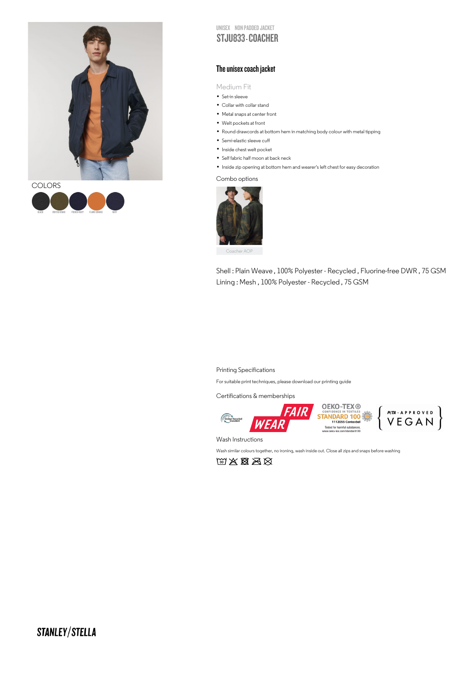



UNISEX NON PADDED JACKET STJU833 COACHER

## The unisex coach jacket

Medium Fit

- IVIed1um F<br>• Set-in sleeve
- Set-in sleeve<br>• Collar with collar stand • Collar with collar stand<br>• Metal snaps at center front
- Metal snaps at center<br>• Welt pockets at front
- 
- Welt pockets at front<br>• Round drawcords at bottom hem in matching body colour with metal tipping
- Round drawcords at bo<br>• Semi-elastic sleeve cuff
- Semi-elastic sleeve cuff<br>• Inside chest welt pocket
- Inside chest welt pocket<br>• Self fabric half moon at back neck

• Self fabric half moon at back neck<br>• Inside zip opening at bottom hem and wearer's left chest for easy decoration

Combo options



Shell : Plain Weave , 100% Polyester - Recycled , Fluorine-free DWR , 75 GSM Lining : Mesh , 100% Polyester - Recycled , 75 GSM

## Printing Specifications

For suitable print techniques, please download our printing guide

Certifications & memberships



**OEKO-TEX ®<br>STANDARD 100** Tested for harmful substances.<br>ww.oeko-tex.com/standard100

 $\left.\begin{array}{c}\n\mathsf{PCTA}\cdot\mathsf{A}\,\mathsf{P}\,\mathsf{P}\,\mathsf{ROVED} \\
\mathsf{V}\,\mathsf{E}\,\mathsf{G}\,\mathsf{A}\,\mathsf{N}\n\end{array}\right\}$ 

Wash Instructions

Wash similar colours together, no ironing, wash inside out. Close all zips and snaps before washing

 $\text{WX} \boxtimes \text{S}$